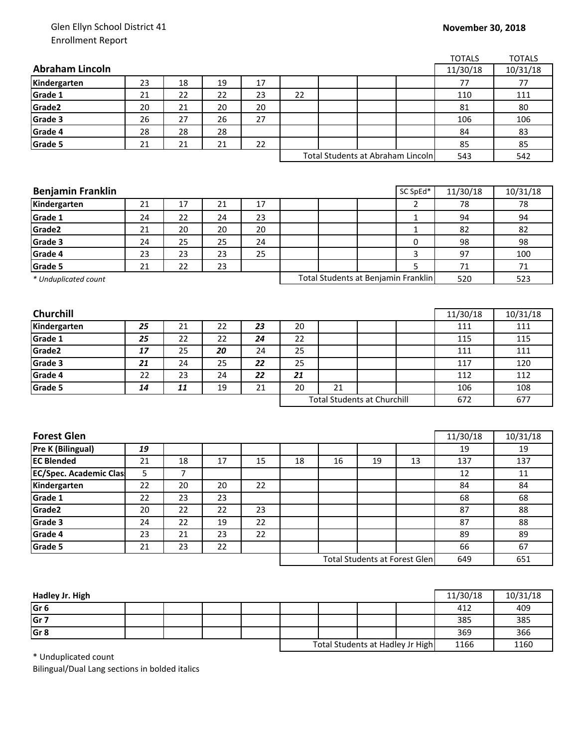## Glen Ellyn School District 41 Enrollment Report

|                                                             |                                    |    |        |    |    |     |     |                                   | <b>TOTALS</b> | <b>TOTALS</b> |
|-------------------------------------------------------------|------------------------------------|----|--------|----|----|-----|-----|-----------------------------------|---------------|---------------|
| <b>Abraham Lincoln</b>                                      |                                    |    |        |    |    |     |     |                                   | 11/30/18      | 10/31/18      |
| Kindergarten                                                | 23                                 | 18 | 19     | 17 |    |     |     |                                   | 77            | 77            |
| Grade 1                                                     | 21                                 | 22 | 22     | 23 | 22 |     |     |                                   | 110           | 111           |
| Grade2                                                      | 20                                 | 21 | 20     | 20 |    |     |     |                                   | 81            | 80            |
| Grade 3                                                     | 26                                 | 27 | 26     | 27 |    |     |     |                                   | 106           | 106           |
| Grade 4                                                     | 28                                 | 28 | 28     |    |    |     |     |                                   | 84            | 83            |
| Grade 5                                                     | 21                                 | 21 | 21     | 22 |    |     |     |                                   | 85            | 85            |
|                                                             |                                    |    |        |    |    |     |     | Total Students at Abraham Lincoln | 543           | 542           |
|                                                             |                                    |    |        |    |    |     |     |                                   |               |               |
|                                                             |                                    |    |        |    |    |     |     |                                   |               |               |
| <b>Benjamin Franklin</b>                                    |                                    |    |        |    |    |     |     | SC SpEd*                          | 11/30/18      | 10/31/18      |
| Kindergarten                                                | 21                                 | 17 | 21     | 17 |    |     |     | $\overline{2}$                    | 78            | 78            |
| Grade 1                                                     | 24                                 | 22 | 24     | 23 |    |     |     | 1                                 | 94            | 94            |
| Grade2                                                      | 21                                 | 20 | 20     | 20 |    |     |     | $\mathbf{1}$                      | 82            | 82            |
| Grade 3                                                     | 24                                 | 25 | 25     | 24 |    |     |     | 0                                 | 98            | 98            |
| Grade 4                                                     | 23                                 | 23 | 23     | 25 |    |     |     | 3                                 | 97            | 100           |
| Grade 5                                                     | 21                                 | 22 | 23     |    |    |     |     | 5                                 | 71            | 71            |
| Total Students at Benjamin Franklin<br>* Unduplicated count |                                    |    |        |    |    |     | 520 | 523                               |               |               |
|                                                             |                                    |    |        |    |    |     |     |                                   |               |               |
|                                                             |                                    |    |        |    |    |     |     |                                   |               |               |
| Churchill                                                   |                                    |    |        |    |    |     |     |                                   | 11/30/18      | 10/31/18      |
| Kindergarten                                                | 25                                 | 21 | 22     | 23 | 20 |     |     |                                   | 111           | 111           |
| Grade 1                                                     | 25                                 | 22 | 22     | 24 | 22 |     |     |                                   | 115           | 115           |
| Grade2                                                      | 17                                 | 25 | 20     | 24 | 25 |     |     |                                   | 111           | 111           |
| Grade 3                                                     | 21                                 | 24 | 25     | 22 | 25 |     |     |                                   | 117           | 120           |
| Grade 4                                                     | 22                                 | 23 | 24     | 22 | 21 |     |     |                                   | 112           | 112           |
| Grade 5                                                     | 14                                 | 11 | 19     | 21 | 20 | 21  |     |                                   | 106           | 108           |
|                                                             | <b>Total Students at Churchill</b> |    |        |    |    | 672 | 677 |                                   |               |               |
|                                                             |                                    |    |        |    |    |     |     |                                   |               |               |
|                                                             |                                    |    |        |    |    |     |     |                                   |               |               |
| <b>Forest Glen</b>                                          |                                    |    |        |    |    |     |     |                                   | 11/30/18      | 10/31/18      |
| Pre K (Bilingual)                                           | 19                                 |    |        |    |    |     |     |                                   | 19            | 19            |
| <b>EC Blended</b>                                           | 21                                 | 18 | 17     | 15 | 18 | 16  | 19  | 13                                | 137           | 137           |
| <b>EC/Spec. Academic Clas</b>                               | 5                                  | 7  |        |    |    |     |     |                                   | 12            | 11            |
| Kindergarten                                                | 22                                 | 20 | $20\,$ | 22 |    |     |     |                                   | 84            | 84            |
| Grade 1                                                     | 22                                 | 23 | 23     |    |    |     |     |                                   | 68            | 68            |
|                                                             |                                    |    |        |    |    |     |     |                                   | 87            | 88            |
| Grade2                                                      | 20                                 | 22 | 22     | 23 |    |     |     |                                   |               |               |
| Grade 3                                                     | 24                                 | 22 | 19     | 22 |    |     |     |                                   | 87            | 88            |
| Grade 4                                                     | 23                                 | 21 | 23     | 22 |    |     |     |                                   | 89            | 89            |
| Grade 5                                                     | 21                                 | 23 | 22     |    |    |     |     |                                   | 66            | 67            |

| Hadley Jr. High |  |  |                                  |  |      | 11/30/18 | 10/31/18 |
|-----------------|--|--|----------------------------------|--|------|----------|----------|
| Gr <sub>6</sub> |  |  |                                  |  |      | 412      | 409      |
| Gr <sub>7</sub> |  |  |                                  |  |      | 385      | 385      |
| Gr <sub>8</sub> |  |  |                                  |  |      | 369      | 366      |
|                 |  |  | Total Students at Hadley Jr High |  | 1166 | 1160     |          |

\* Unduplicated count

Bilingual/Dual Lang sections in bolded italics